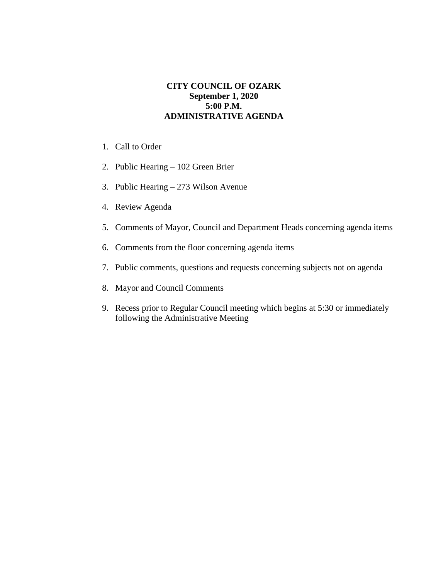## **CITY COUNCIL OF OZARK September 1, 2020 5:00 P.M. ADMINISTRATIVE AGENDA**

- 1. Call to Order
- 2. Public Hearing 102 Green Brier
- 3. Public Hearing 273 Wilson Avenue
- 4. Review Agenda
- 5. Comments of Mayor, Council and Department Heads concerning agenda items
- 6. Comments from the floor concerning agenda items
- 7. Public comments, questions and requests concerning subjects not on agenda
- 8. Mayor and Council Comments
- 9. Recess prior to Regular Council meeting which begins at 5:30 or immediately following the Administrative Meeting